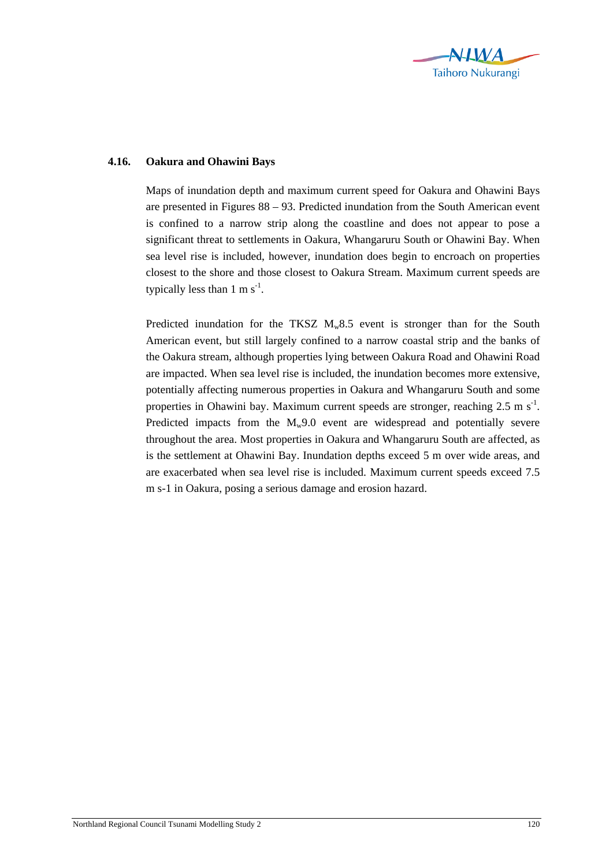

## **4.16. Oakura and Ohawini Bays**

Maps of inundation depth and maximum current speed for Oakura and Ohawini Bays are presented in Figures 88 – 93. Predicted inundation from the South American event is confined to a narrow strip along the coastline and does not appear to pose a significant threat to settlements in Oakura, Whangaruru South or Ohawini Bay. When sea level rise is included, however, inundation does begin to encroach on properties closest to the shore and those closest to Oakura Stream. Maximum current speeds are typically less than  $1 \text{ m s}^{-1}$ .

Predicted inundation for the TKSZ  $M_w 8.5$  event is stronger than for the South American event, but still largely confined to a narrow coastal strip and the banks of the Oakura stream, although properties lying between Oakura Road and Ohawini Road are impacted. When sea level rise is included, the inundation becomes more extensive, potentially affecting numerous properties in Oakura and Whangaruru South and some properties in Ohawini bay. Maximum current speeds are stronger, reaching  $2.5 \text{ m s}^{-1}$ . Predicted impacts from the  $M_w9.0$  event are widespread and potentially severe throughout the area. Most properties in Oakura and Whangaruru South are affected, as is the settlement at Ohawini Bay. Inundation depths exceed 5 m over wide areas, and are exacerbated when sea level rise is included. Maximum current speeds exceed 7.5 m s-1 in Oakura, posing a serious damage and erosion hazard.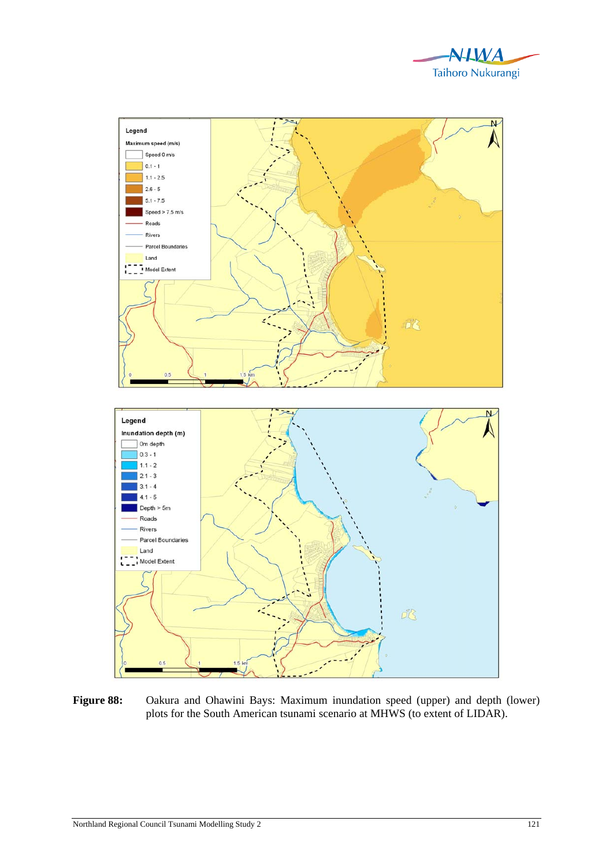



Figure 88: Oakura and Ohawini Bays: Maximum inundation speed (upper) and depth (lower) plots for the South American tsunami scenario at MHWS (to extent of LIDAR).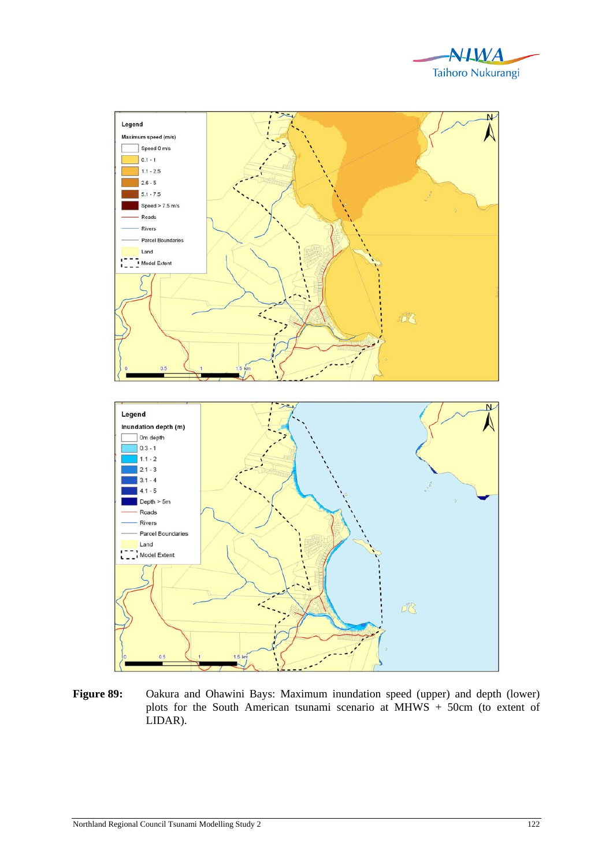



**Figure 89:** Oakura and Ohawini Bays: Maximum inundation speed (upper) and depth (lower) plots for the South American tsunami scenario at MHWS + 50cm (to extent of LIDAR).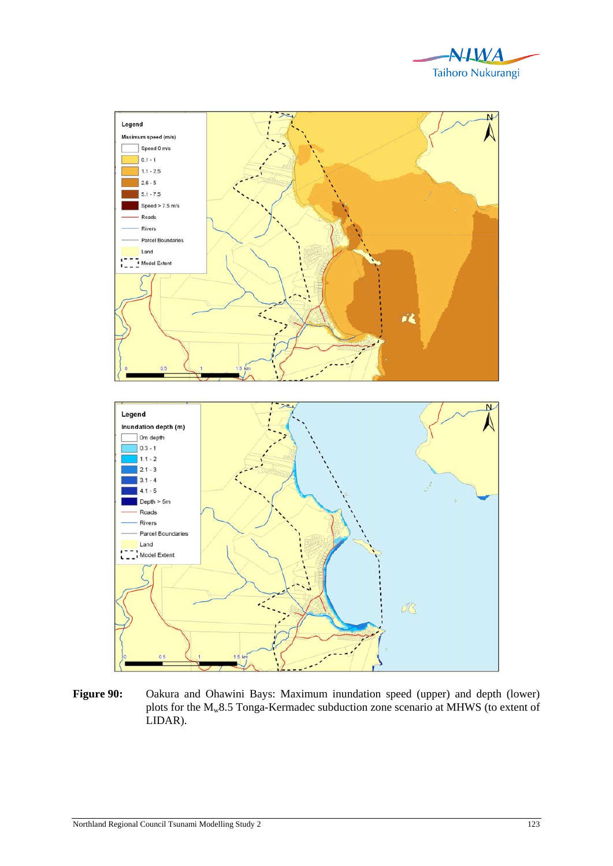



Figure 90: Oakura and Ohawini Bays: Maximum inundation speed (upper) and depth (lower) plots for the Mw8.5 Tonga-Kermadec subduction zone scenario at MHWS (to extent of LIDAR).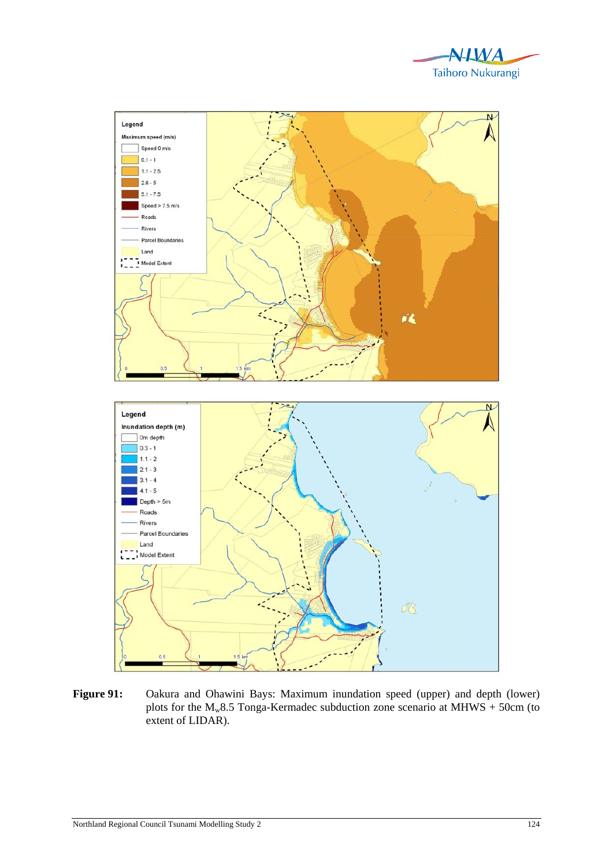



Figure 91: Oakura and Ohawini Bays: Maximum inundation speed (upper) and depth (lower) plots for the  $M_w 8.5$  Tonga-Kermadec subduction zone scenario at MHWS + 50cm (to extent of LIDAR).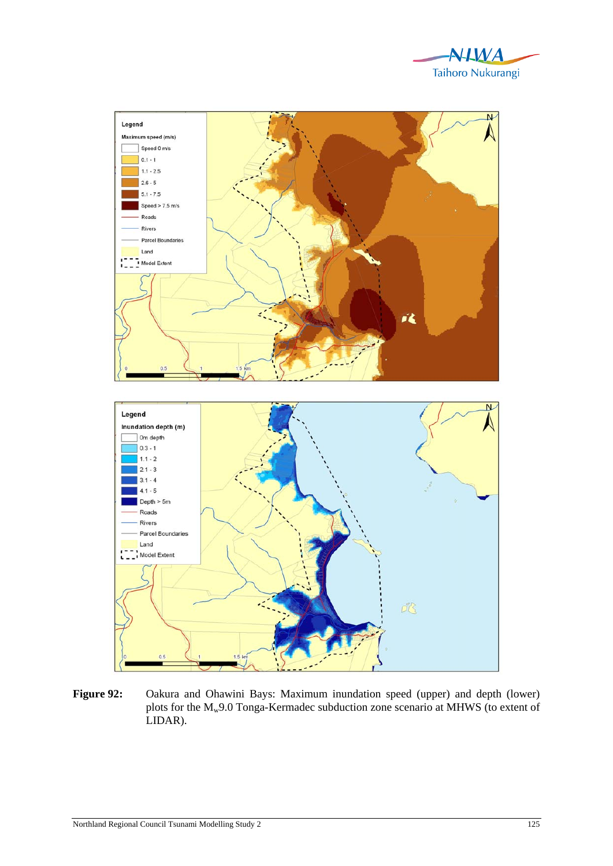



**Figure 92:** Oakura and Ohawini Bays: Maximum inundation speed (upper) and depth (lower) plots for the M<sub>w</sub>9.0 Tonga-Kermadec subduction zone scenario at MHWS (to extent of LIDAR).